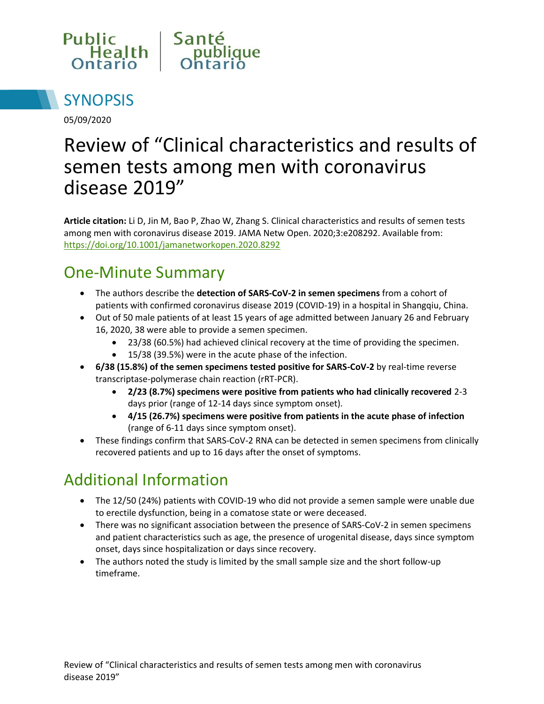



05/09/2020

# Review of "Clinical characteristics and results of semen tests among men with coronavirus disease 2019"

**Article citation:** Li D, Jin M, Bao P, Zhao W, Zhang S. Clinical characteristics and results of semen tests among men with coronavirus disease 2019. JAMA Netw Open. 2020;3:e208292. Available from: <https://doi.org/10.1001/jamanetworkopen.2020.8292>

#### One-Minute Summary

- The authors describe the **detection of SARS-CoV-2 in semen specimens** from a cohort of patients with confirmed coronavirus disease 2019 (COVID-19) in a hospital in Shangqiu, China.
- Out of 50 male patients of at least 15 years of age admitted between January 26 and February 16, 2020, 38 were able to provide a semen specimen.
	- 23/38 (60.5%) had achieved clinical recovery at the time of providing the specimen.
	- 15/38 (39.5%) were in the acute phase of the infection.
- **6/38 (15.8%) of the semen specimens tested positive for SARS-CoV-2** by real-time reverse transcriptase-polymerase chain reaction (rRT-PCR).
	- **2/23 (8.7%) specimens were positive from patients who had clinically recovered** 2-3 days prior (range of 12-14 days since symptom onset).
	- **4/15 (26.7%) specimens were positive from patients in the acute phase of infection** (range of 6-11 days since symptom onset).
- These findings confirm that SARS-CoV-2 RNA can be detected in semen specimens from clinically recovered patients and up to 16 days after the onset of symptoms.

## Additional Information

- The 12/50 (24%) patients with COVID-19 who did not provide a semen sample were unable due to erectile dysfunction, being in a comatose state or were deceased.
- There was no significant association between the presence of SARS-CoV-2 in semen specimens and patient characteristics such as age, the presence of urogenital disease, days since symptom onset, days since hospitalization or days since recovery.
- The authors noted the study is limited by the small sample size and the short follow-up timeframe.